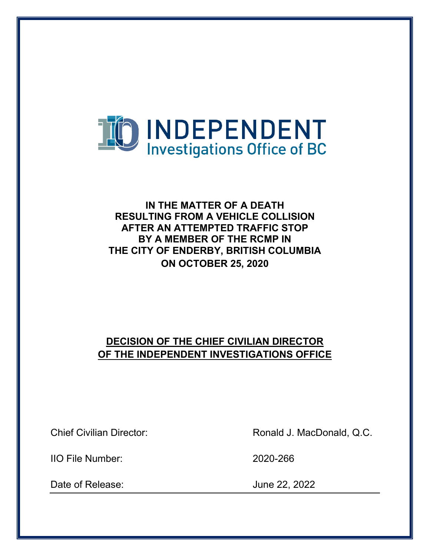

## **IN THE MATTER OF A DEATH RESULTING FROM A VEHICLE COLLISION AFTER AN ATTEMPTED TRAFFIC STOP BY A MEMBER OF THE RCMP IN THE CITY OF ENDERBY, BRITISH COLUMBIA ON OCTOBER 25, 2020**

# **DECISION OF THE CHIEF CIVILIAN DIRECTOR OF THE INDEPENDENT INVESTIGATIONS OFFICE**

Chief Civilian Director: Ronald J. MacDonald, Q.C.

IIO File Number: 2020-266

Date of Release: June 22, 2022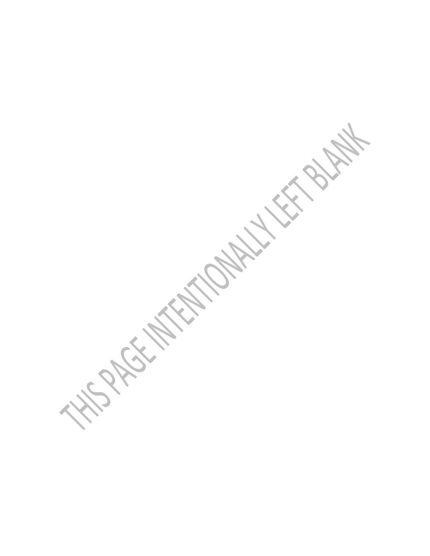Hispanish Maritim River Button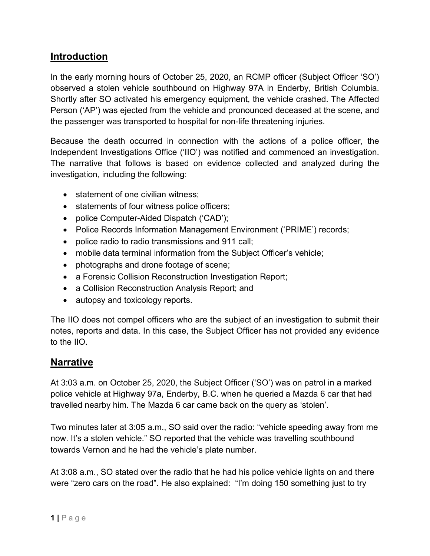#### **Introduction**

In the early morning hours of October 25, 2020, an RCMP officer (Subject Officer 'SO') observed a stolen vehicle southbound on Highway 97A in Enderby, British Columbia. Shortly after SO activated his emergency equipment, the vehicle crashed. The Affected Person ('AP') was ejected from the vehicle and pronounced deceased at the scene, and the passenger was transported to hospital for non-life threatening injuries.

Because the death occurred in connection with the actions of a police officer, the Independent Investigations Office ('IIO') was notified and commenced an investigation. The narrative that follows is based on evidence collected and analyzed during the investigation, including the following:

- statement of one civilian witness:
- statements of four witness police officers;
- police Computer-Aided Dispatch ('CAD');
- Police Records Information Management Environment ('PRIME') records;
- police radio to radio transmissions and 911 call;
- mobile data terminal information from the Subject Officer's vehicle;
- photographs and drone footage of scene;
- a Forensic Collision Reconstruction Investigation Report;
- a Collision Reconstruction Analysis Report; and
- autopsy and toxicology reports.

The IIO does not compel officers who are the subject of an investigation to submit their notes, reports and data. In this case, the Subject Officer has not provided any evidence to the IIO.

#### **Narrative**

At 3:03 a.m. on October 25, 2020, the Subject Officer ('SO') was on patrol in a marked police vehicle at Highway 97a, Enderby, B.C. when he queried a Mazda 6 car that had travelled nearby him. The Mazda 6 car came back on the query as 'stolen'.

Two minutes later at 3:05 a.m., SO said over the radio: "vehicle speeding away from me now. It's a stolen vehicle." SO reported that the vehicle was travelling southbound towards Vernon and he had the vehicle's plate number.

At 3:08 a.m., SO stated over the radio that he had his police vehicle lights on and there were "zero cars on the road". He also explained: "I'm doing 150 something just to try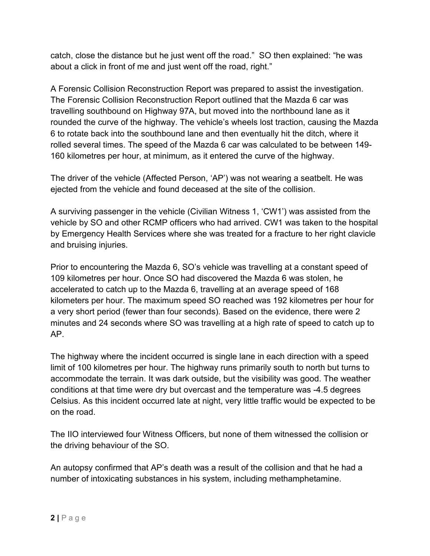catch, close the distance but he just went off the road." SO then explained: "he was about a click in front of me and just went off the road, right."

A Forensic Collision Reconstruction Report was prepared to assist the investigation. The Forensic Collision Reconstruction Report outlined that the Mazda 6 car was travelling southbound on Highway 97A, but moved into the northbound lane as it rounded the curve of the highway. The vehicle's wheels lost traction, causing the Mazda 6 to rotate back into the southbound lane and then eventually hit the ditch, where it rolled several times. The speed of the Mazda 6 car was calculated to be between 149- 160 kilometres per hour, at minimum, as it entered the curve of the highway.

The driver of the vehicle (Affected Person, 'AP') was not wearing a seatbelt. He was ejected from the vehicle and found deceased at the site of the collision.

A surviving passenger in the vehicle (Civilian Witness 1, 'CW1') was assisted from the vehicle by SO and other RCMP officers who had arrived. CW1 was taken to the hospital by Emergency Health Services where she was treated for a fracture to her right clavicle and bruising injuries.

Prior to encountering the Mazda 6, SO's vehicle was travelling at a constant speed of 109 kilometres per hour. Once SO had discovered the Mazda 6 was stolen, he accelerated to catch up to the Mazda 6, travelling at an average speed of 168 kilometers per hour. The maximum speed SO reached was 192 kilometres per hour for a very short period (fewer than four seconds). Based on the evidence, there were 2 minutes and 24 seconds where SO was travelling at a high rate of speed to catch up to AP.

The highway where the incident occurred is single lane in each direction with a speed limit of 100 kilometres per hour. The highway runs primarily south to north but turns to accommodate the terrain. It was dark outside, but the visibility was good. The weather conditions at that time were dry but overcast and the temperature was -4.5 degrees Celsius. As this incident occurred late at night, very little traffic would be expected to be on the road.

The IIO interviewed four Witness Officers, but none of them witnessed the collision or the driving behaviour of the SO.

An autopsy confirmed that AP's death was a result of the collision and that he had a number of intoxicating substances in his system, including methamphetamine.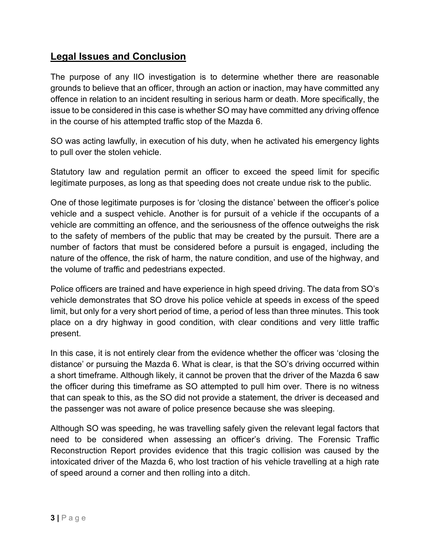## **Legal Issues and Conclusion**

The purpose of any IIO investigation is to determine whether there are reasonable grounds to believe that an officer, through an action or inaction, may have committed any offence in relation to an incident resulting in serious harm or death. More specifically, the issue to be considered in this case is whether SO may have committed any driving offence in the course of his attempted traffic stop of the Mazda 6.

SO was acting lawfully, in execution of his duty, when he activated his emergency lights to pull over the stolen vehicle.

Statutory law and regulation permit an officer to exceed the speed limit for specific legitimate purposes, as long as that speeding does not create undue risk to the public.

One of those legitimate purposes is for 'closing the distance' between the officer's police vehicle and a suspect vehicle. Another is for pursuit of a vehicle if the occupants of a vehicle are committing an offence, and the seriousness of the offence outweighs the risk to the safety of members of the public that may be created by the pursuit. There are a number of factors that must be considered before a pursuit is engaged, including the nature of the offence, the risk of harm, the nature condition, and use of the highway, and the volume of traffic and pedestrians expected.

Police officers are trained and have experience in high speed driving. The data from SO's vehicle demonstrates that SO drove his police vehicle at speeds in excess of the speed limit, but only for a very short period of time, a period of less than three minutes. This took place on a dry highway in good condition, with clear conditions and very little traffic present.

In this case, it is not entirely clear from the evidence whether the officer was 'closing the distance' or pursuing the Mazda 6. What is clear, is that the SO's driving occurred within a short timeframe. Although likely, it cannot be proven that the driver of the Mazda 6 saw the officer during this timeframe as SO attempted to pull him over. There is no witness that can speak to this, as the SO did not provide a statement, the driver is deceased and the passenger was not aware of police presence because she was sleeping.

Although SO was speeding, he was travelling safely given the relevant legal factors that need to be considered when assessing an officer's driving. The Forensic Traffic Reconstruction Report provides evidence that this tragic collision was caused by the intoxicated driver of the Mazda 6, who lost traction of his vehicle travelling at a high rate of speed around a corner and then rolling into a ditch.